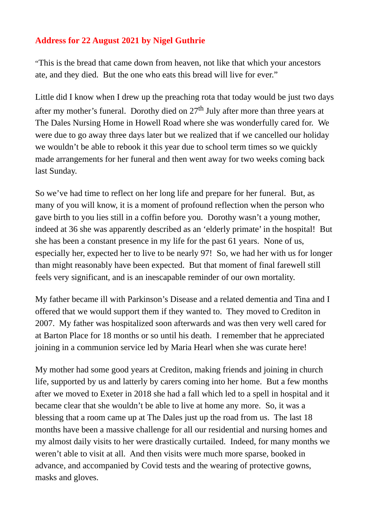## **Address for 22 August 2021 by Nigel Guthrie**

"This is the bread that came down from heaven, not like that which your ancestors ate, and they died. But the one who eats this bread will live for ever."

Little did I know when I drew up the preaching rota that today would be just two days after my mother's funeral. Dorothy died on  $27<sup>th</sup>$  July after more than three years at The Dales Nursing Home in Howell Road where she was wonderfully cared for. We were due to go away three days later but we realized that if we cancelled our holiday we wouldn't be able to rebook it this year due to school term times so we quickly made arrangements for her funeral and then went away for two weeks coming back last Sunday.

So we've had time to reflect on her long life and prepare for her funeral. But, as many of you will know, it is a moment of profound reflection when the person who gave birth to you lies still in a coffin before you. Dorothy wasn't a young mother, indeed at 36 she was apparently described as an 'elderly primate' in the hospital! But she has been a constant presence in my life for the past 61 years. None of us, especially her, expected her to live to be nearly 97! So, we had her with us for longer than might reasonably have been expected. But that moment of final farewell still feels very significant, and is an inescapable reminder of our own mortality.

My father became ill with Parkinson's Disease and a related dementia and Tina and I offered that we would support them if they wanted to. They moved to Crediton in 2007. My father was hospitalized soon afterwards and was then very well cared for at Barton Place for 18 months or so until his death. I remember that he appreciated joining in a communion service led by Maria Hearl when she was curate here!

My mother had some good years at Crediton, making friends and joining in church life, supported by us and latterly by carers coming into her home. But a few months after we moved to Exeter in 2018 she had a fall which led to a spell in hospital and it became clear that she wouldn't be able to live at home any more. So, it was a blessing that a room came up at The Dales just up the road from us. The last 18 months have been a massive challenge for all our residential and nursing homes and my almost daily visits to her were drastically curtailed. Indeed, for many months we weren't able to visit at all. And then visits were much more sparse, booked in advance, and accompanied by Covid tests and the wearing of protective gowns, masks and gloves.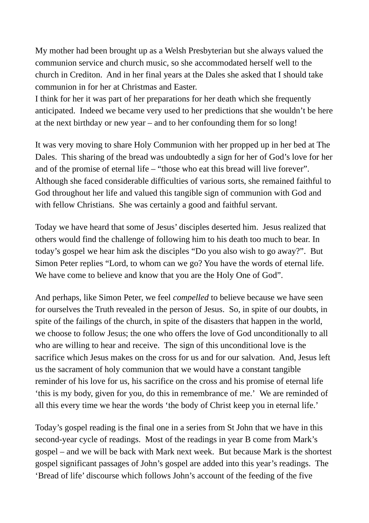My mother had been brought up as a Welsh Presbyterian but she always valued the communion service and church music, so she accommodated herself well to the church in Crediton. And in her final years at the Dales she asked that I should take communion in for her at Christmas and Easter.

I think for her it was part of her preparations for her death which she frequently anticipated. Indeed we became very used to her predictions that she wouldn't be here at the next birthday or new year – and to her confounding them for so long!

It was very moving to share Holy Communion with her propped up in her bed at The Dales. This sharing of the bread was undoubtedly a sign for her of God's love for her and of the promise of eternal life – "those who eat this bread will live forever". Although she faced considerable difficulties of various sorts, she remained faithful to God throughout her life and valued this tangible sign of communion with God and with fellow Christians. She was certainly a good and faithful servant.

Today we have heard that some of Jesus' disciples deserted him. Jesus realized that others would find the challenge of following him to his death too much to bear. In today's gospel we hear him ask the disciples "Do you also wish to go away?". But Simon Peter replies "Lord, to whom can we go? You have the words of eternal life. We have come to believe and know that you are the Holy One of God".

And perhaps, like Simon Peter, we feel *compelled* to believe because we have seen for ourselves the Truth revealed in the person of Jesus. So, in spite of our doubts, in spite of the failings of the church, in spite of the disasters that happen in the world, we choose to follow Jesus; the one who offers the love of God unconditionally to all who are willing to hear and receive. The sign of this unconditional love is the sacrifice which Jesus makes on the cross for us and for our salvation. And, Jesus left us the sacrament of holy communion that we would have a constant tangible reminder of his love for us, his sacrifice on the cross and his promise of eternal life 'this is my body, given for you, do this in remembrance of me.' We are reminded of all this every time we hear the words 'the body of Christ keep you in eternal life.'

Today's gospel reading is the final one in a series from St John that we have in this second-year cycle of readings. Most of the readings in year B come from Mark's gospel – and we will be back with Mark next week. But because Mark is the shortest gospel significant passages of John's gospel are added into this year's readings. The 'Bread of life' discourse which follows John's account of the feeding of the five